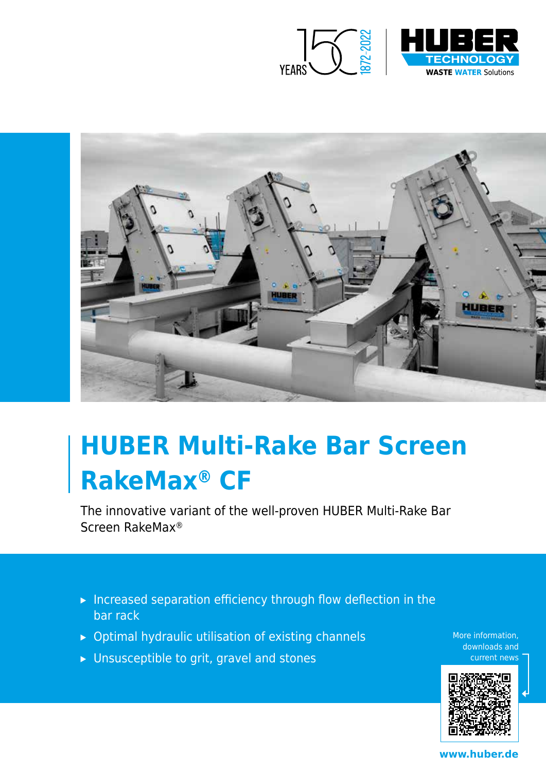



# **HUBER Multi-Rake Bar Screen RakeMax® CF**

The innovative variant of the well-proven HUBER Multi-Rake Bar Screen RakeMax®

- ▸ Increased separation efficiency through flow deflection in the bar rack
- ▸ Optimal hydraulic utilisation of existing channels
- ▸ Unsusceptible to grit, gravel and stones

More information, downloads and current news



**www.huber.de**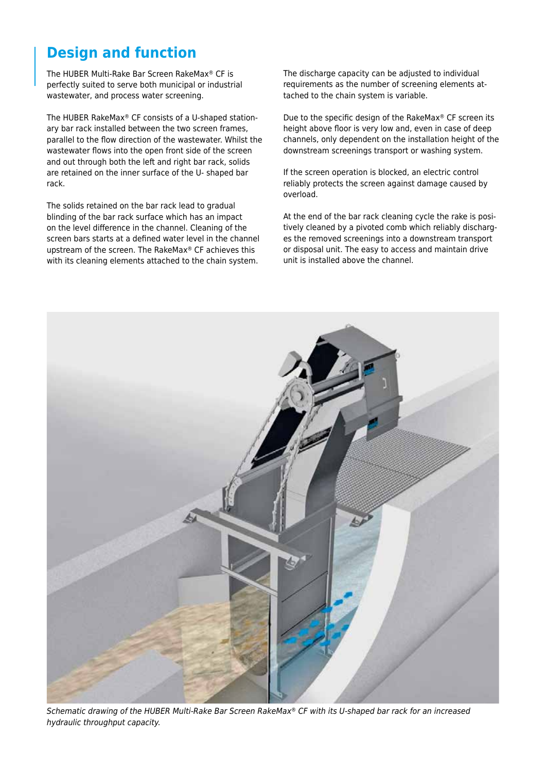## **Design and function**

The HUBER Multi-Rake Bar Screen RakeMax® CF is perfectly suited to serve both municipal or industrial wastewater, and process water screening.

The HUBER RakeMax® CF consists of a U-shaped stationary bar rack installed between the two screen frames, parallel to the flow direction of the wastewater. Whilst the wastewater flows into the open front side of the screen and out through both the left and right bar rack, solids are retained on the inner surface of the U- shaped bar rack.

The solids retained on the bar rack lead to gradual blinding of the bar rack surface which has an impact on the level difference in the channel. Cleaning of the screen bars starts at a defined water level in the channel upstream of the screen. The RakeMax® CF achieves this with its cleaning elements attached to the chain system.

The discharge capacity can be adjusted to individual requirements as the number of screening elements attached to the chain system is variable.

Due to the specific design of the RakeMax® CF screen its height above floor is very low and, even in case of deep channels, only dependent on the installation height of the downstream screenings transport or washing system.

If the screen operation is blocked, an electric control reliably protects the screen against damage caused by overload.

At the end of the bar rack cleaning cycle the rake is positively cleaned by a pivoted comb which reliably discharges the removed screenings into a downstream transport or disposal unit. The easy to access and maintain drive unit is installed above the channel.



*Schematic drawing of the HUBER Multi-Rake Bar Screen RakeMax® CF with its U-shaped bar rack for an increased hydraulic throughput capacity.*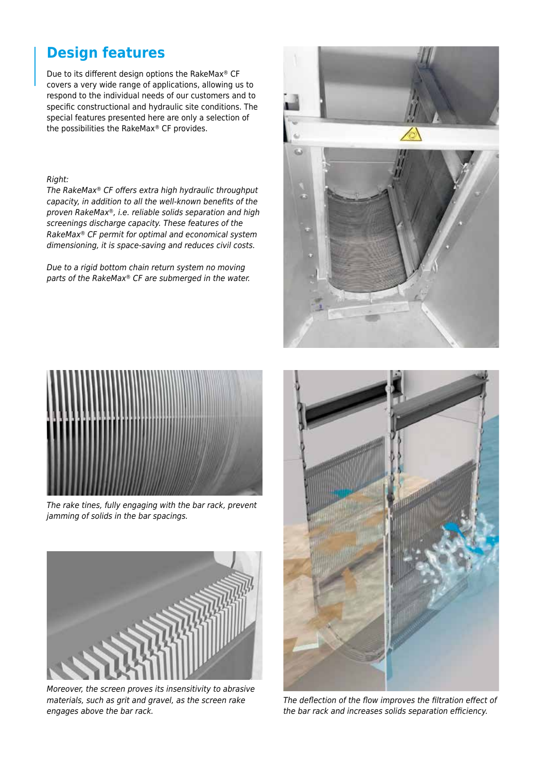## **Design features**

Due to its different design options the RakeMax® CF covers a very wide range of applications, allowing us to respond to the individual needs of our customers and to specific constructional and hydraulic site conditions. The special features presented here are only a selection of the possibilities the RakeMax® CF provides.

#### *Right:*

The RakeMax® CF offers extra high hydraulic throughput capacity, in addition to all the well-known benefits of the *proven RakeMax®, i.e. reliable solids separation and high screenings discharge capacity. These features of the RakeMax® CF permit for optimal and economical system dimensioning, it is space-saving and reduces civil costs.*

*Due to a rigid bottom chain return system no moving parts of the RakeMax® CF are submerged in the water.*



*The rake tines, fully engaging with the bar rack, prevent jamming of solids in the bar spacings.*



*Moreover, the screen proves its insensitivity to abrasive materials, such as grit and gravel, as the screen rake engages above the bar rack.*





The deflection of the flow improves the filtration effect of the bar rack and increases solids separation efficiency.